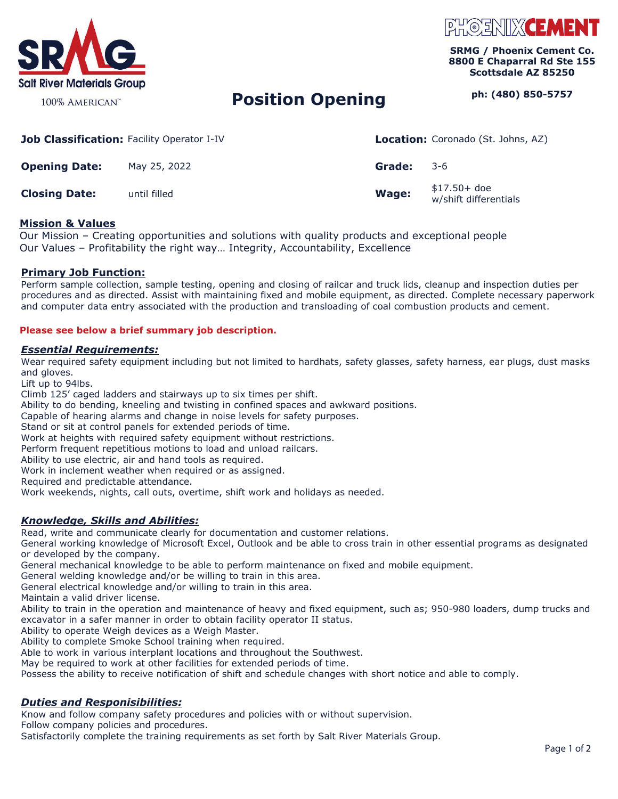

#### 100% AMERICAN<sup>™</sup>

# PHOENIXCEME

**SRMG / Phoenix Cement Co. 8800 E Chaparral Rd Ste 155 Scottsdale AZ 85250** 

## **Position Opening** Position Provident Position 2010 Phi (480) 850-5757

| <b>Job Classification: Facility Operator I-IV</b> |              |              | <b>Location:</b> Coronado (St. Johns, AZ) |
|---------------------------------------------------|--------------|--------------|-------------------------------------------|
| <b>Opening Date:</b>                              | May 25, 2022 | Grade:       | $-3-6$                                    |
| <b>Closing Date:</b>                              | until filled | <b>Wage:</b> | $$17.50+$ doe<br>w/shift differentials    |

#### **Mission & Values**

Our Mission – Creating opportunities and solutions with quality products and exceptional people Our Values – Profitability the right way… Integrity, Accountability, Excellence

### **Primary Job Function:**

Perform sample collection, sample testing, opening and closing of railcar and truck lids, cleanup and inspection duties per procedures and as directed. Assist with maintaining fixed and mobile equipment, as directed. Complete necessary paperwork and computer data entry associated with the production and transloading of coal combustion products and cement.

#### **Please see below a brief summary job description.**

#### *Essential Requirements:*

Wear required safety equipment including but not limited to hardhats, safety glasses, safety harness, ear plugs, dust masks and gloves.

Lift up to 94lbs.

Climb 125' caged ladders and stairways up to six times per shift.

Ability to do bending, kneeling and twisting in confined spaces and awkward positions.

Capable of hearing alarms and change in noise levels for safety purposes.

Stand or sit at control panels for extended periods of time.

Work at heights with required safety equipment without restrictions.

Perform frequent repetitious motions to load and unload railcars.

Ability to use electric, air and hand tools as required.

Work in inclement weather when required or as assigned.

Required and predictable attendance.

Work weekends, nights, call outs, overtime, shift work and holidays as needed.

#### *Knowledge, Skills and Abilities:*

Read, write and communicate clearly for documentation and customer relations.

General working knowledge of Microsoft Excel, Outlook and be able to cross train in other essential programs as designated or developed by the company.

General mechanical knowledge to be able to perform maintenance on fixed and mobile equipment.

General welding knowledge and/or be willing to train in this area.

General electrical knowledge and/or willing to train in this area.

Maintain a valid driver license.

Ability to train in the operation and maintenance of heavy and fixed equipment, such as; 950-980 loaders, dump trucks and excavator in a safer manner in order to obtain facility operator II status.

Ability to operate Weigh devices as a Weigh Master.

Ability to complete Smoke School training when required.

Able to work in various interplant locations and throughout the Southwest.

May be required to work at other facilities for extended periods of time.

Possess the ability to receive notification of shift and schedule changes with short notice and able to comply.

### *Duties and Responisibilities:*

Know and follow company safety procedures and policies with or without supervision. Follow company policies and procedures.

Satisfactorily complete the training requirements as set forth by Salt River Materials Group.